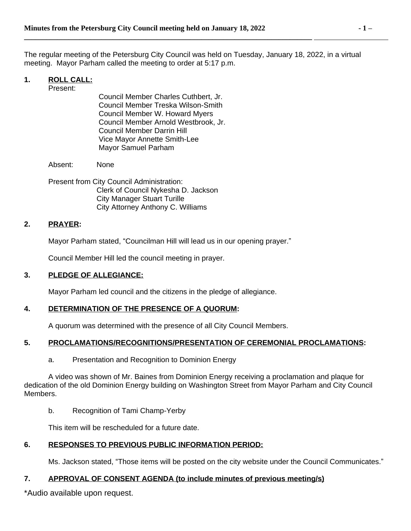The regular meeting of the Petersburg City Council was held on Tuesday, January 18, 2022, in a virtual meeting. Mayor Parham called the meeting to order at 5:17 p.m.

# **1. ROLL CALL:**

Present:

Council Member Charles Cuthbert, Jr. Council Member Treska Wilson-Smith Council Member W. Howard Myers Council Member Arnold Westbrook, Jr. Council Member Darrin Hill Vice Mayor Annette Smith-Lee Mayor Samuel Parham

**\_\_\_\_\_\_\_\_\_\_\_\_\_\_\_\_\_\_\_\_\_\_\_\_\_\_\_\_\_\_\_\_\_\_\_\_\_\_\_\_\_\_\_\_\_\_\_\_\_\_\_\_\_\_\_\_\_\_\_\_\_\_\_\_\_\_\_\_\_\_\_\_\_\_\_\_\_\_** 

Absent: None

Present from City Council Administration: Clerk of Council Nykesha D. Jackson City Manager Stuart Turille City Attorney Anthony C. Williams

## **2. PRAYER:**

Mayor Parham stated, "Councilman Hill will lead us in our opening prayer."

Council Member Hill led the council meeting in prayer.

## **3. PLEDGE OF ALLEGIANCE:**

Mayor Parham led council and the citizens in the pledge of allegiance.

## **4. DETERMINATION OF THE PRESENCE OF A QUORUM:**

A quorum was determined with the presence of all City Council Members.

# **5. PROCLAMATIONS/RECOGNITIONS/PRESENTATION OF CEREMONIAL PROCLAMATIONS:**

a. Presentation and Recognition to Dominion Energy

A video was shown of Mr. Baines from Dominion Energy receiving a proclamation and plaque for dedication of the old Dominion Energy building on Washington Street from Mayor Parham and City Council Members.

b. Recognition of Tami Champ-Yerby

This item will be rescheduled for a future date.

## **6. RESPONSES TO PREVIOUS PUBLIC INFORMATION PERIOD:**

Ms. Jackson stated, "Those items will be posted on the city website under the Council Communicates."

## **7. APPROVAL OF CONSENT AGENDA (to include minutes of previous meeting/s)**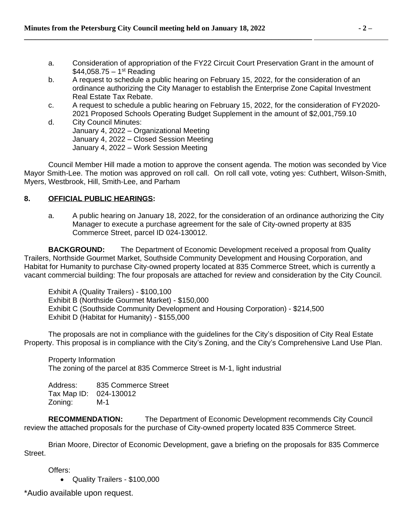- a. Consideration of appropriation of the FY22 Circuit Court Preservation Grant in the amount of  $$44,058.75 - 1<sup>st</sup>$  Reading
- b. A request to schedule a public hearing on February 15, 2022, for the consideration of an ordinance authorizing the City Manager to establish the Enterprise Zone Capital Investment Real Estate Tax Rebate.
- c. A request to schedule a public hearing on February 15, 2022, for the consideration of FY2020- 2021 Proposed Schools Operating Budget Supplement in the amount of \$2,001,759.10
- d. City Council Minutes: January 4, 2022 – Organizational Meeting January 4, 2022 – Closed Session Meeting January 4, 2022 – Work Session Meeting

Council Member Hill made a motion to approve the consent agenda. The motion was seconded by Vice Mayor Smith-Lee. The motion was approved on roll call. On roll call vote, voting yes: Cuthbert, Wilson-Smith, Myers, Westbrook, Hill, Smith-Lee, and Parham

# **8. OFFICIAL PUBLIC HEARINGS:**

a. A public hearing on January 18, 2022, for the consideration of an ordinance authorizing the City Manager to execute a purchase agreement for the sale of City-owned property at 835 Commerce Street, parcel ID 024-130012.

**BACKGROUND:** The Department of Economic Development received a proposal from Quality Trailers, Northside Gourmet Market, Southside Community Development and Housing Corporation, and Habitat for Humanity to purchase City-owned property located at 835 Commerce Street, which is currently a vacant commercial building: The four proposals are attached for review and consideration by the City Council.

Exhibit A (Quality Trailers) - \$100,100 Exhibit B (Northside Gourmet Market) - \$150,000 Exhibit C (Southside Community Development and Housing Corporation) - \$214,500 Exhibit D (Habitat for Humanity) - \$155,000

The proposals are not in compliance with the guidelines for the City's disposition of City Real Estate Property. This proposal is in compliance with the City's Zoning, and the City's Comprehensive Land Use Plan.

Property Information The zoning of the parcel at 835 Commerce Street is M-1, light industrial

Address: 835 Commerce Street Tax Map ID: 024-130012 Zoning: M-1

**RECOMMENDATION:** The Department of Economic Development recommends City Council review the attached proposals for the purchase of City-owned property located 835 Commerce Street.

Brian Moore, Director of Economic Development, gave a briefing on the proposals for 835 Commerce Street.

Offers:

Quality Trailers - \$100,000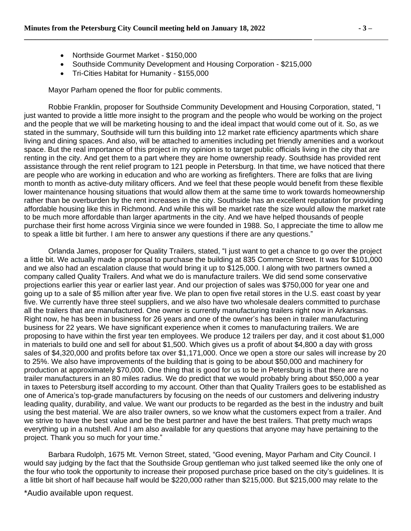- Northside Gourmet Market \$150,000
- Southside Community Development and Housing Corporation \$215,000

Tri-Cities Habitat for Humanity - \$155,000

Mayor Parham opened the floor for public comments.

Robbie Franklin, proposer for Southside Community Development and Housing Corporation, stated, "I just wanted to provide a little more insight to the program and the people who would be working on the project and the people that we will be marketing housing to and the ideal impact that would come out of it. So, as we stated in the summary, Southside will turn this building into 12 market rate efficiency apartments which share living and dining spaces. And also, will be attached to amenities including pet friendly amenities and a workout space. But the real importance of this project in my opinion is to target public officials living in the city that are renting in the city. And get them to a part where they are home ownership ready. Southside has provided rent assistance through the rent relief program to 121 people in Petersburg. In that time, we have noticed that there are people who are working in education and who are working as firefighters. There are folks that are living month to month as active-duty military officers. And we feel that these people would benefit from these flexible lower maintenance housing situations that would allow them at the same time to work towards homeownership rather than be overburden by the rent increases in the city. Southside has an excellent reputation for providing affordable housing like this in Richmond. And while this will be market rate the size would allow the market rate to be much more affordable than larger apartments in the city. And we have helped thousands of people purchase their first home across Virginia since we were founded in 1988. So, I appreciate the time to allow me to speak a little bit further. I am here to answer any questions if there are any questions."

Orlanda James, proposer for Quality Trailers, stated, "I just want to get a chance to go over the project a little bit. We actually made a proposal to purchase the building at 835 Commerce Street. It was for \$101,000 and we also had an escalation clause that would bring it up to \$125,000. I along with two partners owned a company called Quality Trailers. And what we do is manufacture trailers. We did send some conservative projections earlier this year or earlier last year. And our projection of sales was \$750,000 for year one and going up to a sale of \$5 million after year five. We plan to open five retail stores in the U.S. east coast by year five. We currently have three steel suppliers, and we also have two wholesale dealers committed to purchase all the trailers that are manufactured. One owner is currently manufacturing trailers right now in Arkansas. Right now, he has been in business for 26 years and one of the owner's has been in trailer manufacturing business for 22 years. We have significant experience when it comes to manufacturing trailers. We are proposing to have within the first year ten employees. We produce 12 trailers per day, and it cost about \$1,000 in materials to build one and sell for about \$1,500. Which gives us a profit of about \$4,800 a day with gross sales of \$4,320,000 and profits before tax over \$1,171,000. Once we open a store our sales will increase by 20 to 25%. We also have improvements of the building that is going to be about \$50,000 and machinery for production at approximately \$70,000. One thing that is good for us to be in Petersburg is that there are no trailer manufacturers in an 80 miles radius. We do predict that we would probably bring about \$50,000 a year in taxes to Petersburg itself according to my account. Other than that Quality Trailers goes to be established as one of America's top-grade manufacturers by focusing on the needs of our customers and delivering industry leading quality, durability, and value. We want our products to be regarded as the best in the industry and built using the best material. We are also trailer owners, so we know what the customers expect from a trailer. And we strive to have the best value and be the best partner and have the best trailers. That pretty much wraps everything up in a nutshell. And I am also available for any questions that anyone may have pertaining to the project. Thank you so much for your time."

Barbara Rudolph, 1675 Mt. Vernon Street, stated, "Good evening, Mayor Parham and City Council. I would say judging by the fact that the Southside Group gentleman who just talked seemed like the only one of the four who took the opportunity to increase their proposed purchase price based on the city's guidelines. It is a little bit short of half because half would be \$220,000 rather than \$215,000. But \$215,000 may relate to the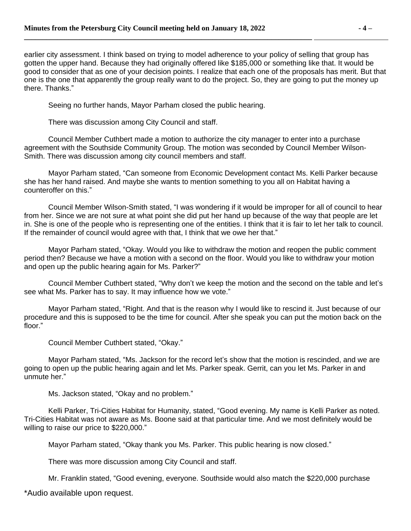earlier city assessment. I think based on trying to model adherence to your policy of selling that group has gotten the upper hand. Because they had originally offered like \$185,000 or something like that. It would be good to consider that as one of your decision points. I realize that each one of the proposals has merit. But that one is the one that apparently the group really want to do the project. So, they are going to put the money up there. Thanks."

Seeing no further hands, Mayor Parham closed the public hearing.

**\_\_\_\_\_\_\_\_\_\_\_\_\_\_\_\_\_\_\_\_\_\_\_\_\_\_\_\_\_\_\_\_\_\_\_\_\_\_\_\_\_\_\_\_\_\_\_\_\_\_\_\_\_\_\_\_\_\_\_\_\_\_\_\_\_\_\_\_\_\_\_\_\_\_\_\_\_\_** 

There was discussion among City Council and staff.

Council Member Cuthbert made a motion to authorize the city manager to enter into a purchase agreement with the Southside Community Group. The motion was seconded by Council Member Wilson-Smith. There was discussion among city council members and staff.

Mayor Parham stated, "Can someone from Economic Development contact Ms. Kelli Parker because she has her hand raised. And maybe she wants to mention something to you all on Habitat having a counteroffer on this."

Council Member Wilson-Smith stated, "I was wondering if it would be improper for all of council to hear from her. Since we are not sure at what point she did put her hand up because of the way that people are let in. She is one of the people who is representing one of the entities. I think that it is fair to let her talk to council. If the remainder of council would agree with that, I think that we owe her that."

Mayor Parham stated, "Okay. Would you like to withdraw the motion and reopen the public comment period then? Because we have a motion with a second on the floor. Would you like to withdraw your motion and open up the public hearing again for Ms. Parker?"

Council Member Cuthbert stated, "Why don't we keep the motion and the second on the table and let's see what Ms. Parker has to say. It may influence how we vote."

Mayor Parham stated, "Right. And that is the reason why I would like to rescind it. Just because of our procedure and this is supposed to be the time for council. After she speak you can put the motion back on the floor."

Council Member Cuthbert stated, "Okay."

Mayor Parham stated, "Ms. Jackson for the record let's show that the motion is rescinded, and we are going to open up the public hearing again and let Ms. Parker speak. Gerrit, can you let Ms. Parker in and unmute her."

Ms. Jackson stated, "Okay and no problem."

Kelli Parker, Tri-Cities Habitat for Humanity, stated, "Good evening. My name is Kelli Parker as noted. Tri-Cities Habitat was not aware as Ms. Boone said at that particular time. And we most definitely would be willing to raise our price to \$220,000."

Mayor Parham stated, "Okay thank you Ms. Parker. This public hearing is now closed."

There was more discussion among City Council and staff.

Mr. Franklin stated, "Good evening, everyone. Southside would also match the \$220,000 purchase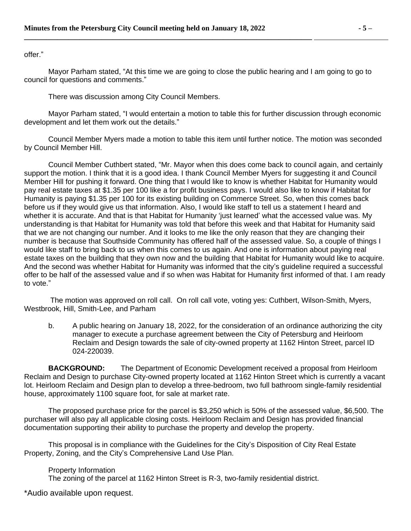offer."

Mayor Parham stated, "At this time we are going to close the public hearing and I am going to go to council for questions and comments."

There was discussion among City Council Members.

Mayor Parham stated, "I would entertain a motion to table this for further discussion through economic development and let them work out the details."

Council Member Myers made a motion to table this item until further notice. The motion was seconded by Council Member Hill.

Council Member Cuthbert stated, "Mr. Mayor when this does come back to council again, and certainly support the motion. I think that it is a good idea. I thank Council Member Myers for suggesting it and Council Member Hill for pushing it forward. One thing that I would like to know is whether Habitat for Humanity would pay real estate taxes at \$1.35 per 100 like a for profit business pays. I would also like to know if Habitat for Humanity is paying \$1.35 per 100 for its existing building on Commerce Street. So, when this comes back before us if they would give us that information. Also, I would like staff to tell us a statement I heard and whether it is accurate. And that is that Habitat for Humanity 'just learned' what the accessed value was. My understanding is that Habitat for Humanity was told that before this week and that Habitat for Humanity said that we are not changing our number. And it looks to me like the only reason that they are changing their number is because that Southside Community has offered half of the assessed value. So, a couple of things I would like staff to bring back to us when this comes to us again. And one is information about paying real estate taxes on the building that they own now and the building that Habitat for Humanity would like to acquire. And the second was whether Habitat for Humanity was informed that the city's guideline required a successful offer to be half of the assessed value and if so when was Habitat for Humanity first informed of that. I am ready to vote."

The motion was approved on roll call. On roll call vote, voting yes: Cuthbert, Wilson-Smith, Myers, Westbrook, Hill, Smith-Lee, and Parham

b. A public hearing on January 18, 2022, for the consideration of an ordinance authorizing the city manager to execute a purchase agreement between the City of Petersburg and Heirloom Reclaim and Design towards the sale of city-owned property at 1162 Hinton Street, parcel ID 024-220039.

**BACKGROUND:** The Department of Economic Development received a proposal from Heirloom Reclaim and Design to purchase City-owned property located at 1162 Hinton Street which is currently a vacant lot. Heirloom Reclaim and Design plan to develop a three-bedroom, two full bathroom single-family residential house, approximately 1100 square foot, for sale at market rate.

The proposed purchase price for the parcel is \$3,250 which is 50% of the assessed value, \$6,500. The purchaser will also pay all applicable closing costs. Heirloom Reclaim and Design has provided financial documentation supporting their ability to purchase the property and develop the property.

This proposal is in compliance with the Guidelines for the City's Disposition of City Real Estate Property, Zoning, and the City's Comprehensive Land Use Plan.

Property Information

The zoning of the parcel at 1162 Hinton Street is R-3, two-family residential district.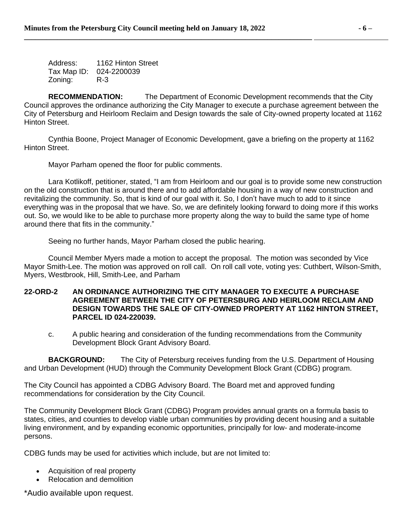Address: 1162 Hinton Street Tax Map ID: 024-2200039 Zoning: R-3

**RECOMMENDATION:** The Department of Economic Development recommends that the City Council approves the ordinance authorizing the City Manager to execute a purchase agreement between the City of Petersburg and Heirloom Reclaim and Design towards the sale of City-owned property located at 1162 Hinton Street.

Cynthia Boone, Project Manager of Economic Development, gave a briefing on the property at 1162 Hinton Street.

Mayor Parham opened the floor for public comments.

Lara Kotlikoff, petitioner, stated, "I am from Heirloom and our goal is to provide some new construction on the old construction that is around there and to add affordable housing in a way of new construction and revitalizing the community. So, that is kind of our goal with it. So, I don't have much to add to it since everything was in the proposal that we have. So, we are definitely looking forward to doing more if this works out. So, we would like to be able to purchase more property along the way to build the same type of home around there that fits in the community."

Seeing no further hands, Mayor Parham closed the public hearing.

Council Member Myers made a motion to accept the proposal. The motion was seconded by Vice Mayor Smith-Lee. The motion was approved on roll call. On roll call vote, voting yes: Cuthbert, Wilson-Smith, Myers, Westbrook, Hill, Smith-Lee, and Parham

#### **22-ORD-2 AN ORDINANCE AUTHORIZING THE CITY MANAGER TO EXECUTE A PURCHASE AGREEMENT BETWEEN THE CITY OF PETERSBURG AND HEIRLOOM RECLAIM AND DESIGN TOWARDS THE SALE OF CITY-OWNED PROPERTY AT 1162 HINTON STREET, PARCEL ID 024-220039.**

c. A public hearing and consideration of the funding recommendations from the Community Development Block Grant Advisory Board.

**BACKGROUND:** The City of Petersburg receives funding from the U.S. Department of Housing and Urban Development (HUD) through the Community Development Block Grant (CDBG) program.

The City Council has appointed a CDBG Advisory Board. The Board met and approved funding recommendations for consideration by the City Council.

The Community Development Block Grant (CDBG) Program provides annual grants on a formula basis to states, cities, and counties to develop viable urban communities by providing decent housing and a suitable living environment, and by expanding economic opportunities, principally for low- and moderate-income persons.

CDBG funds may be used for activities which include, but are not limited to:

- Acquisition of real property
- Relocation and demolition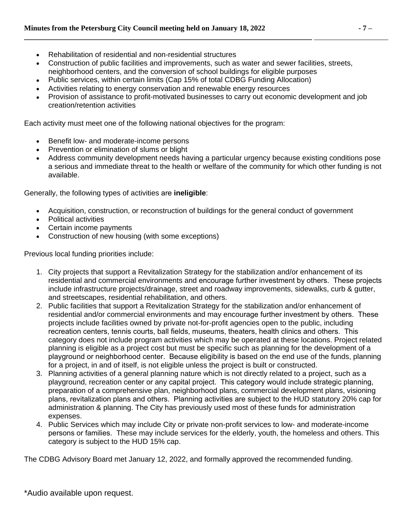- Rehabilitation of residential and non-residential structures
- Construction of public facilities and improvements, such as water and sewer facilities, streets, neighborhood centers, and the conversion of school buildings for eligible purposes
- Public services, within certain limits (Cap 15% of total CDBG Funding Allocation)

- Activities relating to energy conservation and renewable energy resources
- Provision of assistance to profit-motivated businesses to carry out economic development and job creation/retention activities

Each activity must meet one of the following national objectives for the program:

- Benefit low- and moderate-income persons
- Prevention or elimination of slums or blight
- Address community development needs having a particular urgency because existing conditions pose a serious and immediate threat to the health or welfare of the community for which other funding is not available.

Generally, the following types of activities are **ineligible**:

- Acquisition, construction, or reconstruction of buildings for the general conduct of government
- Political activities
- Certain income payments
- Construction of new housing (with some exceptions)

Previous local funding priorities include:

- 1. City projects that support a Revitalization Strategy for the stabilization and/or enhancement of its residential and commercial environments and encourage further investment by others. These projects include infrastructure projects/drainage, street and roadway improvements, sidewalks, curb & gutter, and streetscapes, residential rehabilitation, and others.
- 2. Public facilities that support a Revitalization Strategy for the stabilization and/or enhancement of residential and/or commercial environments and may encourage further investment by others. These projects include facilities owned by private not-for-profit agencies open to the public, including recreation centers, tennis courts, ball fields, museums, theaters, health clinics and others. This category does not include program activities which may be operated at these locations. Project related planning is eligible as a project cost but must be specific such as planning for the development of a playground or neighborhood center. Because eligibility is based on the end use of the funds, planning for a project, in and of itself, is not eligible unless the project is built or constructed.
- 3. Planning activities of a general planning nature which is not directly related to a project, such as a playground, recreation center or any capital project. This category would include strategic planning, preparation of a comprehensive plan, neighborhood plans, commercial development plans, visioning plans, revitalization plans and others. Planning activities are subject to the HUD statutory 20% cap for administration & planning. The City has previously used most of these funds for administration expenses.
- 4. Public Services which may include City or private non-profit services to low- and moderate-income persons or families. These may include services for the elderly, youth, the homeless and others. This category is subject to the HUD 15% cap.

The CDBG Advisory Board met January 12, 2022, and formally approved the recommended funding.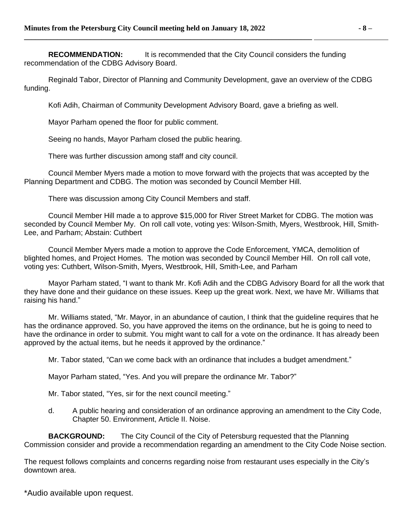**RECOMMENDATION:** It is recommended that the City Council considers the funding recommendation of the CDBG Advisory Board.

**\_\_\_\_\_\_\_\_\_\_\_\_\_\_\_\_\_\_\_\_\_\_\_\_\_\_\_\_\_\_\_\_\_\_\_\_\_\_\_\_\_\_\_\_\_\_\_\_\_\_\_\_\_\_\_\_\_\_\_\_\_\_\_\_\_\_\_\_\_\_\_\_\_\_\_\_\_\_** 

Reginald Tabor, Director of Planning and Community Development, gave an overview of the CDBG funding.

Kofi Adih, Chairman of Community Development Advisory Board, gave a briefing as well.

Mayor Parham opened the floor for public comment.

Seeing no hands, Mayor Parham closed the public hearing.

There was further discussion among staff and city council.

Council Member Myers made a motion to move forward with the projects that was accepted by the Planning Department and CDBG. The motion was seconded by Council Member Hill.

There was discussion among City Council Members and staff.

Council Member Hill made a to approve \$15,000 for River Street Market for CDBG. The motion was seconded by Council Member My. On roll call vote, voting yes: Wilson-Smith, Myers, Westbrook, Hill, Smith-Lee, and Parham; Abstain: Cuthbert

Council Member Myers made a motion to approve the Code Enforcement, YMCA, demolition of blighted homes, and Project Homes. The motion was seconded by Council Member Hill. On roll call vote, voting yes: Cuthbert, Wilson-Smith, Myers, Westbrook, Hill, Smith-Lee, and Parham

Mayor Parham stated, "I want to thank Mr. Kofi Adih and the CDBG Advisory Board for all the work that they have done and their guidance on these issues. Keep up the great work. Next, we have Mr. Williams that raising his hand."

Mr. Williams stated, "Mr. Mayor, in an abundance of caution, I think that the guideline requires that he has the ordinance approved. So, you have approved the items on the ordinance, but he is going to need to have the ordinance in order to submit. You might want to call for a vote on the ordinance. It has already been approved by the actual items, but he needs it approved by the ordinance."

Mr. Tabor stated, "Can we come back with an ordinance that includes a budget amendment."

Mayor Parham stated, "Yes. And you will prepare the ordinance Mr. Tabor?"

Mr. Tabor stated, "Yes, sir for the next council meeting."

d. A public hearing and consideration of an ordinance approving an amendment to the City Code, Chapter 50. Environment, Article II. Noise.

**BACKGROUND:** The City Council of the City of Petersburg requested that the Planning Commission consider and provide a recommendation regarding an amendment to the City Code Noise section.

The request follows complaints and concerns regarding noise from restaurant uses especially in the City's downtown area.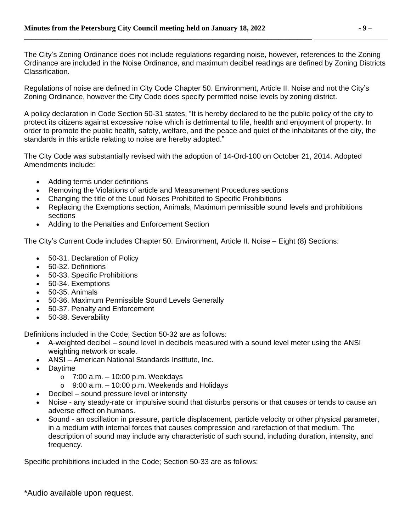The City's Zoning Ordinance does not include regulations regarding noise, however, references to the Zoning Ordinance are included in the Noise Ordinance, and maximum decibel readings are defined by Zoning Districts Classification.

Regulations of noise are defined in City Code Chapter 50. Environment, Article II. Noise and not the City's Zoning Ordinance, however the City Code does specify permitted noise levels by zoning district.

A policy declaration in Code Section 50-31 states, "It is hereby declared to be the public policy of the city to protect its citizens against excessive noise which is detrimental to life, health and enjoyment of property. In order to promote the public health, safety, welfare, and the peace and quiet of the inhabitants of the city, the standards in this article relating to noise are hereby adopted."

The City Code was substantially revised with the adoption of 14-Ord-100 on October 21, 2014. Adopted Amendments include:

- Adding terms under definitions
- Removing the Violations of article and Measurement Procedures sections
- Changing the title of the Loud Noises Prohibited to Specific Prohibitions
- Replacing the Exemptions section, Animals, Maximum permissible sound levels and prohibitions sections
- Adding to the Penalties and Enforcement Section

The City's Current Code includes Chapter 50. Environment, Article II. Noise – Eight (8) Sections:

- 50-31. Declaration of Policy
- 50-32. Definitions
- 50-33. Specific Prohibitions
- 50-34. Exemptions
- 50-35. Animals
- 50-36. Maximum Permissible Sound Levels Generally
- 50-37. Penalty and Enforcement
- 50-38. Severability

Definitions included in the Code; Section 50-32 are as follows:

- A-weighted decibel sound level in decibels measured with a sound level meter using the ANSI weighting network or scale.
- ANSI American National Standards Institute, Inc.
- Daytime
	- $\circ$  7:00 a.m.  $-$  10:00 p.m. Weekdays
	- $\circ$  9:00 a.m.  $-$  10:00 p.m. Weekends and Holidays
- Decibel sound pressure level or intensity
- Noise any steady-rate or impulsive sound that disturbs persons or that causes or tends to cause an adverse effect on humans.
- Sound an oscillation in pressure, particle displacement, particle velocity or other physical parameter, in a medium with internal forces that causes compression and rarefaction of that medium. The description of sound may include any characteristic of such sound, including duration, intensity, and frequency.

Specific prohibitions included in the Code; Section 50-33 are as follows: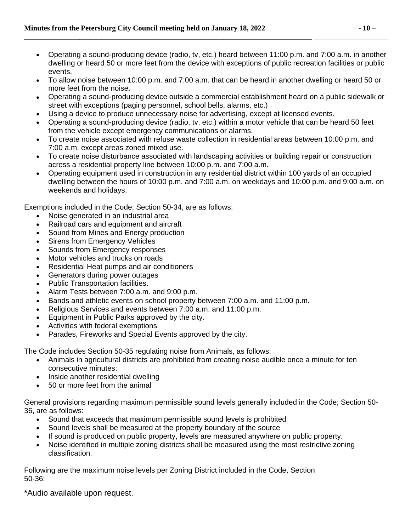- Operating a sound-producing device (radio, tv, etc.) heard between 11:00 p.m. and 7:00 a.m. in another dwelling or heard 50 or more feet from the device with exceptions of public recreation facilities or public events.
- To allow noise between 10:00 p.m. and 7:00 a.m. that can be heard in another dwelling or heard 50 or more feet from the noise.
- Operating a sound-producing device outside a commercial establishment heard on a public sidewalk or street with exceptions (paging personnel, school bells, alarms, etc.)
- Using a device to produce unnecessary noise for advertising, except at licensed events.
- Operating a sound-producing device (radio, tv, etc.) within a motor vehicle that can be heard 50 feet from the vehicle except emergency communications or alarms.
- To create noise associated with refuse waste collection in residential areas between 10:00 p.m. and 7:00 a.m. except areas zoned mixed use.
- To create noise disturbance associated with landscaping activities or building repair or construction across a residential property line between 10:00 p.m. and 7:00 a.m.
- Operating equipment used in construction in any residential district within 100 yards of an occupied dwelling between the hours of 10:00 p.m. and 7:00 a.m. on weekdays and 10:00 p.m. and 9:00 a.m. on weekends and holidays.

Exemptions included in the Code; Section 50-34, are as follows:

- Noise generated in an industrial area
- Railroad cars and equipment and aircraft
- Sound from Mines and Energy production
- Sirens from Emergency Vehicles
- Sounds from Emergency responses
- Motor vehicles and trucks on roads
- Residential Heat pumps and air conditioners
- Generators during power outages
- Public Transportation facilities.
- Alarm Tests between 7:00 a.m. and 9:00 p.m.
- Bands and athletic events on school property between 7:00 a.m. and 11:00 p.m.
- Religious Services and events between 7:00 a.m. and 11:00 p.m.
- Equipment in Public Parks approved by the city.
- Activities with federal exemptions.
- Parades, Fireworks and Special Events approved by the city.

The Code includes Section 50-35 regulating noise from Animals, as follows:

- Animals in agricultural districts are prohibited from creating noise audible once a minute for ten consecutive minutes:
- Inside another residential dwelling
- 50 or more feet from the animal

General provisions regarding maximum permissible sound levels generally included in the Code; Section 50- 36, are as follows:

- Sound that exceeds that maximum permissible sound levels is prohibited
- Sound levels shall be measured at the property boundary of the source
- If sound is produced on public property, levels are measured anywhere on public property.
- Noise identified in multiple zoning districts shall be measured using the most restrictive zoning classification.

Following are the maximum noise levels per Zoning District included in the Code, Section 50-36: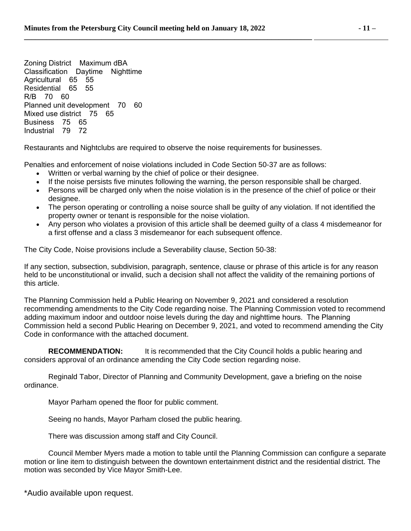Zoning District Maximum dBA Classification Daytime Nighttime Agricultural 65 55 Residential 65 55 R/B 70 60 Planned unit development 70 60 Mixed use district 75 65 Business 75 65 Industrial 79 72

Restaurants and Nightclubs are required to observe the noise requirements for businesses.

**\_\_\_\_\_\_\_\_\_\_\_\_\_\_\_\_\_\_\_\_\_\_\_\_\_\_\_\_\_\_\_\_\_\_\_\_\_\_\_\_\_\_\_\_\_\_\_\_\_\_\_\_\_\_\_\_\_\_\_\_\_\_\_\_\_\_\_\_\_\_\_\_\_\_\_\_\_\_** 

Penalties and enforcement of noise violations included in Code Section 50-37 are as follows:

- Written or verbal warning by the chief of police or their designee.
- If the noise persists five minutes following the warning, the person responsible shall be charged.
- Persons will be charged only when the noise violation is in the presence of the chief of police or their designee.
- The person operating or controlling a noise source shall be guilty of any violation. If not identified the property owner or tenant is responsible for the noise violation.
- Any person who violates a provision of this article shall be deemed guilty of a class 4 misdemeanor for a first offense and a class 3 misdemeanor for each subsequent offence.

The City Code, Noise provisions include a Severability clause, Section 50-38:

If any section, subsection, subdivision, paragraph, sentence, clause or phrase of this article is for any reason held to be unconstitutional or invalid, such a decision shall not affect the validity of the remaining portions of this article.

The Planning Commission held a Public Hearing on November 9, 2021 and considered a resolution recommending amendments to the City Code regarding noise. The Planning Commission voted to recommend adding maximum indoor and outdoor noise levels during the day and nighttime hours. The Planning Commission held a second Public Hearing on December 9, 2021, and voted to recommend amending the City Code in conformance with the attached document.

**RECOMMENDATION:** It is recommended that the City Council holds a public hearing and considers approval of an ordinance amending the City Code section regarding noise.

Reginald Tabor, Director of Planning and Community Development, gave a briefing on the noise ordinance.

Mayor Parham opened the floor for public comment.

Seeing no hands, Mayor Parham closed the public hearing.

There was discussion among staff and City Council.

Council Member Myers made a motion to table until the Planning Commission can configure a separate motion or line item to distinguish between the downtown entertainment district and the residential district. The motion was seconded by Vice Mayor Smith-Lee.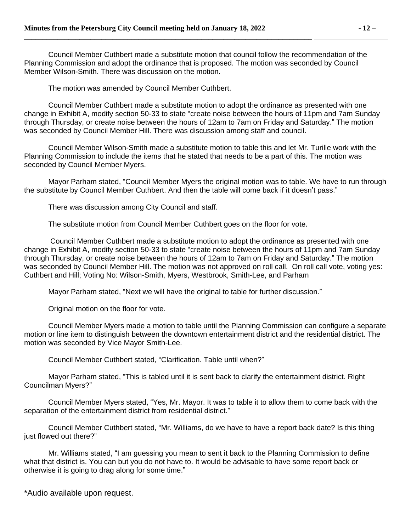Council Member Cuthbert made a substitute motion that council follow the recommendation of the Planning Commission and adopt the ordinance that is proposed. The motion was seconded by Council Member Wilson-Smith. There was discussion on the motion.

The motion was amended by Council Member Cuthbert.

Council Member Cuthbert made a substitute motion to adopt the ordinance as presented with one change in Exhibit A, modify section 50-33 to state "create noise between the hours of 11pm and 7am Sunday through Thursday, or create noise between the hours of 12am to 7am on Friday and Saturday." The motion was seconded by Council Member Hill. There was discussion among staff and council.

Council Member Wilson-Smith made a substitute motion to table this and let Mr. Turille work with the Planning Commission to include the items that he stated that needs to be a part of this. The motion was seconded by Council Member Myers.

Mayor Parham stated, "Council Member Myers the original motion was to table. We have to run through the substitute by Council Member Cuthbert. And then the table will come back if it doesn't pass."

There was discussion among City Council and staff.

The substitute motion from Council Member Cuthbert goes on the floor for vote.

Council Member Cuthbert made a substitute motion to adopt the ordinance as presented with one change in Exhibit A, modify section 50-33 to state "create noise between the hours of 11pm and 7am Sunday through Thursday, or create noise between the hours of 12am to 7am on Friday and Saturday." The motion was seconded by Council Member Hill. The motion was not approved on roll call. On roll call vote, voting yes: Cuthbert and Hill; Voting No: Wilson-Smith, Myers, Westbrook, Smith-Lee, and Parham

Mayor Parham stated, "Next we will have the original to table for further discussion."

Original motion on the floor for vote.

Council Member Myers made a motion to table until the Planning Commission can configure a separate motion or line item to distinguish between the downtown entertainment district and the residential district. The motion was seconded by Vice Mayor Smith-Lee.

Council Member Cuthbert stated, "Clarification. Table until when?"

Mayor Parham stated, "This is tabled until it is sent back to clarify the entertainment district. Right Councilman Myers?"

Council Member Myers stated, "Yes, Mr. Mayor. It was to table it to allow them to come back with the separation of the entertainment district from residential district."

Council Member Cuthbert stated, "Mr. Williams, do we have to have a report back date? Is this thing just flowed out there?"

Mr. Williams stated, "I am guessing you mean to sent it back to the Planning Commission to define what that district is. You can but you do not have to. It would be advisable to have some report back or otherwise it is going to drag along for some time."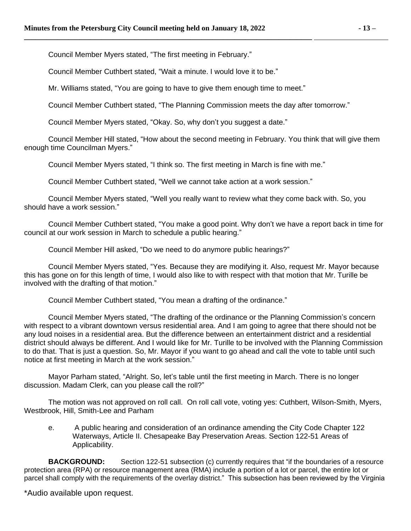Council Member Myers stated, "The first meeting in February."

Council Member Cuthbert stated, "Wait a minute. I would love it to be."

**\_\_\_\_\_\_\_\_\_\_\_\_\_\_\_\_\_\_\_\_\_\_\_\_\_\_\_\_\_\_\_\_\_\_\_\_\_\_\_\_\_\_\_\_\_\_\_\_\_\_\_\_\_\_\_\_\_\_\_\_\_\_\_\_\_\_\_\_\_\_\_\_\_\_\_\_\_\_** 

Mr. Williams stated, "You are going to have to give them enough time to meet."

Council Member Cuthbert stated, "The Planning Commission meets the day after tomorrow."

Council Member Myers stated, "Okay. So, why don't you suggest a date."

Council Member Hill stated, "How about the second meeting in February. You think that will give them enough time Councilman Myers."

Council Member Myers stated, "I think so. The first meeting in March is fine with me."

Council Member Cuthbert stated, "Well we cannot take action at a work session."

Council Member Myers stated, "Well you really want to review what they come back with. So, you should have a work session."

Council Member Cuthbert stated, "You make a good point. Why don't we have a report back in time for council at our work session in March to schedule a public hearing."

Council Member Hill asked, "Do we need to do anymore public hearings?"

Council Member Myers stated, "Yes. Because they are modifying it. Also, request Mr. Mayor because this has gone on for this length of time, I would also like to with respect with that motion that Mr. Turille be involved with the drafting of that motion."

Council Member Cuthbert stated, "You mean a drafting of the ordinance."

Council Member Myers stated, "The drafting of the ordinance or the Planning Commission's concern with respect to a vibrant downtown versus residential area. And I am going to agree that there should not be any loud noises in a residential area. But the difference between an entertainment district and a residential district should always be different. And I would like for Mr. Turille to be involved with the Planning Commission to do that. That is just a question. So, Mr. Mayor if you want to go ahead and call the vote to table until such notice at first meeting in March at the work session."

Mayor Parham stated, "Alright. So, let's table until the first meeting in March. There is no longer discussion. Madam Clerk, can you please call the roll?"

The motion was not approved on roll call. On roll call vote, voting yes: Cuthbert, Wilson-Smith, Myers, Westbrook, Hill, Smith-Lee and Parham

e. A public hearing and consideration of an ordinance amending the City Code Chapter 122 Waterways, Article II. Chesapeake Bay Preservation Areas. Section 122-51 Areas of Applicability.

**BACKGROUND:** Section 122-51 subsection (c) currently requires that "if the boundaries of a resource protection area (RPA) or resource management area (RMA) include a portion of a lot or parcel, the entire lot or parcel shall comply with the requirements of the overlay district." This subsection has been reviewed by the Virginia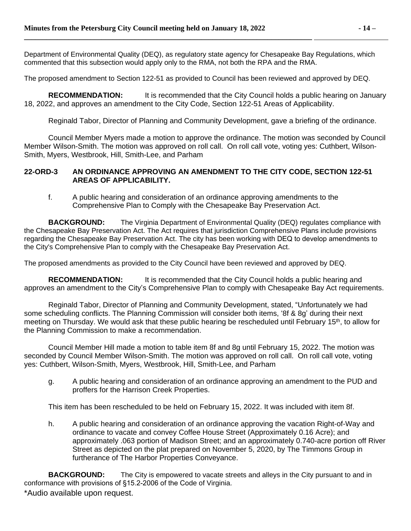Department of Environmental Quality (DEQ), as regulatory state agency for Chesapeake Bay Regulations, which commented that this subsection would apply only to the RMA, not both the RPA and the RMA.

The proposed amendment to Section 122-51 as provided to Council has been reviewed and approved by DEQ.

**RECOMMENDATION:** It is recommended that the City Council holds a public hearing on January 18, 2022, and approves an amendment to the City Code, Section 122-51 Areas of Applicability.

Reginald Tabor, Director of Planning and Community Development, gave a briefing of the ordinance.

Council Member Myers made a motion to approve the ordinance. The motion was seconded by Council Member Wilson-Smith. The motion was approved on roll call. On roll call vote, voting yes: Cuthbert, Wilson-Smith, Myers, Westbrook, Hill, Smith-Lee, and Parham

#### **22-ORD-3 AN ORDINANCE APPROVING AN AMENDMENT TO THE CITY CODE, SECTION 122-51 AREAS OF APPLICABILITY.**

f. A public hearing and consideration of an ordinance approving amendments to the Comprehensive Plan to Comply with the Chesapeake Bay Preservation Act.

**BACKGROUND:** The Virginia Department of Environmental Quality (DEQ) regulates compliance with the Chesapeake Bay Preservation Act. The Act requires that jurisdiction Comprehensive Plans include provisions regarding the Chesapeake Bay Preservation Act. The city has been working with DEQ to develop amendments to the City's Comprehensive Plan to comply with the Chesapeake Bay Preservation Act.

The proposed amendments as provided to the City Council have been reviewed and approved by DEQ.

**RECOMMENDATION:** It is recommended that the City Council holds a public hearing and approves an amendment to the City's Comprehensive Plan to comply with Chesapeake Bay Act requirements.

Reginald Tabor, Director of Planning and Community Development, stated, "Unfortunately we had some scheduling conflicts. The Planning Commission will consider both items, '8f & 8g' during their next meeting on Thursday. We would ask that these public hearing be rescheduled until February 15th, to allow for the Planning Commission to make a recommendation.

Council Member Hill made a motion to table item 8f and 8g until February 15, 2022. The motion was seconded by Council Member Wilson-Smith. The motion was approved on roll call. On roll call vote, voting yes: Cuthbert, Wilson-Smith, Myers, Westbrook, Hill, Smith-Lee, and Parham

g. A public hearing and consideration of an ordinance approving an amendment to the PUD and proffers for the Harrison Creek Properties.

This item has been rescheduled to be held on February 15, 2022. It was included with item 8f.

h. A public hearing and consideration of an ordinance approving the vacation Right-of-Way and ordinance to vacate and convey Coffee House Street (Approximately 0.16 Acre); and approximately .063 portion of Madison Street; and an approximately 0.740-acre portion off River Street as depicted on the plat prepared on November 5, 2020, by The Timmons Group in furtherance of The Harbor Properties Conveyance.

\*Audio available upon request. **BACKGROUND:** The City is empowered to vacate streets and alleys in the City pursuant to and in conformance with provisions of §15.2-2006 of the Code of Virginia.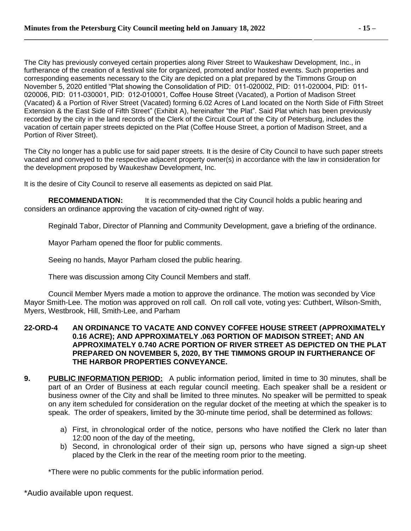The City has previously conveyed certain properties along River Street to Waukeshaw Development, Inc., in furtherance of the creation of a festival site for organized, promoted and/or hosted events. Such properties and corresponding easements necessary to the City are depicted on a plat prepared by the Timmons Group on November 5, 2020 entitled "Plat showing the Consolidation of PID: 011-020002, PID: 011-020004, PID: 011- 020006, PID: 011-030001, PID: 012-010001, Coffee House Street (Vacated), a Portion of Madison Street (Vacated) & a Portion of River Street (Vacated) forming 6.02 Acres of Land located on the North Side of Fifth Street Extension & the East Side of Fifth Street" (Exhibit A), hereinafter "the Plat". Said Plat which has been previously recorded by the city in the land records of the Clerk of the Circuit Court of the City of Petersburg, includes the vacation of certain paper streets depicted on the Plat (Coffee House Street, a portion of Madison Street, and a Portion of River Street).

The City no longer has a public use for said paper streets. It is the desire of City Council to have such paper streets vacated and conveyed to the respective adjacent property owner(s) in accordance with the law in consideration for the development proposed by Waukeshaw Development, Inc.

It is the desire of City Council to reserve all easements as depicted on said Plat.

**RECOMMENDATION:** It is recommended that the City Council holds a public hearing and considers an ordinance approving the vacation of city-owned right of way.

Reginald Tabor, Director of Planning and Community Development, gave a briefing of the ordinance.

Mayor Parham opened the floor for public comments.

Seeing no hands, Mayor Parham closed the public hearing.

There was discussion among City Council Members and staff.

Council Member Myers made a motion to approve the ordinance. The motion was seconded by Vice Mayor Smith-Lee. The motion was approved on roll call. On roll call vote, voting yes: Cuthbert, Wilson-Smith, Myers, Westbrook, Hill, Smith-Lee, and Parham

#### **22-ORD-4 AN ORDINANCE TO VACATE AND CONVEY COFFEE HOUSE STREET (APPROXIMATELY 0.16 ACRE); AND APPROXIMATELY .063 PORTION OF MADISON STREET; AND AN APPROXIMATELY 0.740 ACRE PORTION OF RIVER STREET AS DEPICTED ON THE PLAT PREPARED ON NOVEMBER 5, 2020, BY THE TIMMONS GROUP IN FURTHERANCE OF THE HARBOR PROPERTIES CONVEYANCE.**

- **9. PUBLIC INFORMATION PERIOD:** A public information period, limited in time to 30 minutes, shall be part of an Order of Business at each regular council meeting. Each speaker shall be a resident or business owner of the City and shall be limited to three minutes. No speaker will be permitted to speak on any item scheduled for consideration on the regular docket of the meeting at which the speaker is to speak. The order of speakers, limited by the 30-minute time period, shall be determined as follows:
	- a) First, in chronological order of the notice, persons who have notified the Clerk no later than 12:00 noon of the day of the meeting,
	- b) Second, in chronological order of their sign up, persons who have signed a sign-up sheet placed by the Clerk in the rear of the meeting room prior to the meeting.

\*There were no public comments for the public information period.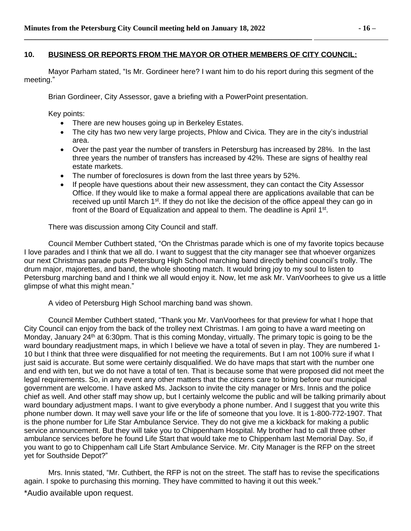#### **10. BUSINESS OR REPORTS FROM THE MAYOR OR OTHER MEMBERS OF CITY COUNCIL:**

Mayor Parham stated, "Is Mr. Gordineer here? I want him to do his report during this segment of the meeting."

Brian Gordineer, City Assessor, gave a briefing with a PowerPoint presentation.

**\_\_\_\_\_\_\_\_\_\_\_\_\_\_\_\_\_\_\_\_\_\_\_\_\_\_\_\_\_\_\_\_\_\_\_\_\_\_\_\_\_\_\_\_\_\_\_\_\_\_\_\_\_\_\_\_\_\_\_\_\_\_\_\_\_\_\_\_\_\_\_\_\_\_\_\_\_\_** 

Key points:

- There are new houses going up in Berkeley Estates.
- The city has two new very large projects, Phlow and Civica. They are in the city's industrial area.
- Over the past year the number of transfers in Petersburg has increased by 28%. In the last three years the number of transfers has increased by 42%. These are signs of healthy real estate markets.
- The number of foreclosures is down from the last three years by 52%.
- If people have questions about their new assessment, they can contact the City Assessor Office. If they would like to make a formal appeal there are applications available that can be received up until March 1<sup>st</sup>. If they do not like the decision of the office appeal they can go in front of the Board of Equalization and appeal to them. The deadline is April 1<sup>st</sup>.

There was discussion among City Council and staff.

Council Member Cuthbert stated, "On the Christmas parade which is one of my favorite topics because I love parades and I think that we all do. I want to suggest that the city manager see that whoever organizes our next Christmas parade puts Petersburg High School marching band directly behind council's trolly. The drum major, majorettes, and band, the whole shooting match. It would bring joy to my soul to listen to Petersburg marching band and I think we all would enjoy it. Now, let me ask Mr. Van Voorhees to give us a little glimpse of what this might mean."

A video of Petersburg High School marching band was shown.

Council Member Cuthbert stated, "Thank you Mr. VanVoorhees for that preview for what I hope that City Council can enjoy from the back of the trolley next Christmas. I am going to have a ward meeting on Monday, January 24<sup>th</sup> at 6:30pm. That is this coming Monday, virtually. The primary topic is going to be the ward boundary readjustment maps, in which I believe we have a total of seven in play. They are numbered 1- 10 but I think that three were disqualified for not meeting the requirements. But I am not 100% sure if what I just said is accurate. But some were certainly disqualified. We do have maps that start with the number one and end with ten, but we do not have a total of ten. That is because some that were proposed did not meet the legal requirements. So, in any event any other matters that the citizens care to bring before our municipal government are welcome. I have asked Ms. Jackson to invite the city manager or Mrs. Innis and the police chief as well. And other staff may show up, but I certainly welcome the public and will be talking primarily about ward boundary adjustment maps. I want to give everybody a phone number. And I suggest that you write this phone number down. It may well save your life or the life of someone that you love. It is 1-800-772-1907. That is the phone number for Life Star Ambulance Service. They do not give me a kickback for making a public service announcement. But they will take you to Chippenham Hospital. My brother had to call three other ambulance services before he found Life Start that would take me to Chippenham last Memorial Day. So, if you want to go to Chippenham call Life Start Ambulance Service. Mr. City Manager is the RFP on the street yet for Southside Depot?"

Mrs. Innis stated, "Mr. Cuthbert, the RFP is not on the street. The staff has to revise the specifications again. I spoke to purchasing this morning. They have committed to having it out this week."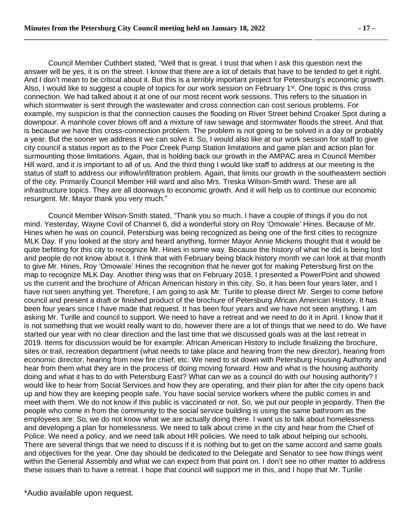Council Member Cuthbert stated, "Well that is great. I trust that when I ask this question next the answer will be yes, it is on the street. I know that there are a lot of details that have to be tended to get it right. And I don't mean to be critical about it. But this is a terribly important project for Petersburg's economic growth. Also, I would like to suggest a couple of topics for our work session on February 1<sup>st</sup>. One topic is this cross connection. We had talked about it at one of our most recent work sessions. This refers to the situation in which stormwater is sent through the wastewater and cross connection can cost serious problems. For example, my suspicion is that the connection causes the flooding on River Street behind Croaker Spot during a downpour. A manhole cover blows off and a mixture of raw sewage and stormwater floods the street. And that is because we have this cross-connection problem. The problem is not going to be solved in a day or probably a year. But the sooner we address it we can solve it. So, I would also like at our work session for staff to give city council a status report as to the Poor Creek Pump Station limitations and game plan and action plan for surmounting those limitations. Again, that is holding back our growth in the AMPAC area in Council Member Hill ward, and it is important to all of us. And the third thing I would like staff to address at our meeting is the status of staff to address our inflow/infiltration problem. Again, that limits our growth in the southeastern section of the city. Primarily Council Member Hill ward and also Mrs. Treska Wilson-Smith ward. These are all infrastructure topics. They are all doorways to economic growth. And it will help us to continue our economic resurgent. Mr. Mayor thank you very much."

Council Member Wilson-Smith stated, "Thank you so much. I have a couple of things if you do not mind. Yesterday, Wayne Covil of Channel 6, did a wonderful story on Roy 'Omowale' Hines. Because of Mr. Hines when he was on council, Petersburg was being recognized as being one of the first cities to recognize MLK Day. If you looked at the story and heard anything, former Mayor Annie Mickens thought that it would be quite befitting for this city to recognize Mr. Hines in some way. Because the history of what he did is being lost and people do not know about it. I think that with February being black history month we can look at that month to give Mr. Hines, Roy 'Omowale' Hines the recognition that he never got for making Petersburg first on the map to recognize MLK Day. Another thing was that on February 2018, I presented a PowerPoint and showed us the current and the brochure of African American history in this city. So, it has been four years later, and I have not seen anything yet. Therefore, I am going to ask Mr. Turille to please direct Mr. Sergei to come before council and present a draft or finished product of the brochure of Petersburg African American History. It has been four years since I have made that request. It has been four years and we have not seen anything. I am asking Mr. Turille and council to support. We need to have a retreat and we need to do it in April. I know that it is not something that we would really want to do, however there are a lot of things that we need to do. We have started our year with no clear direction and the last time that we discussed goals was at the last retreat in 2019. Items for discussion would be for example: African American History to include finalizing the brochure, sites or trail, recreation department (what needs to take place and hearing from the new director), hearing from economic director, hearing from new fire chief, etc. We need to sit down with Petersburg Housing Authority and hear from them what they are in the process of doing moving forward. How and what is the housing authority doing and what it has to do with Petersburg East? What can we as a council do with our housing authority? I would like to hear from Social Services and how they are operating, and their plan for after the city opens back up and how they are keeping people safe. You have social service workers where the public comes in and meet with them. We do not know if this public is vaccinated or not. So, we put our people in jeopardy. Then the people who come in from the community to the social service building is using the same bathroom as the employees are. So, we do not know what we are actually doing there. I want us to talk about homelessness and developing a plan for homelessness. We need to talk about crime in the city and hear from the Chief of Police. We need a policy, and we need talk about HR policies. We need to talk about helping our schools. There are several things that we need to discuss if it is nothing but to get on the same accord and same goals and objectives for the year. One day should be dedicated to the Delegate and Senator to see how things went within the General Assembly and what we can expect from that point on. I don't see no other matter to address these issues than to have a retreat. I hope that council will support me in this, and I hope that Mr. Turille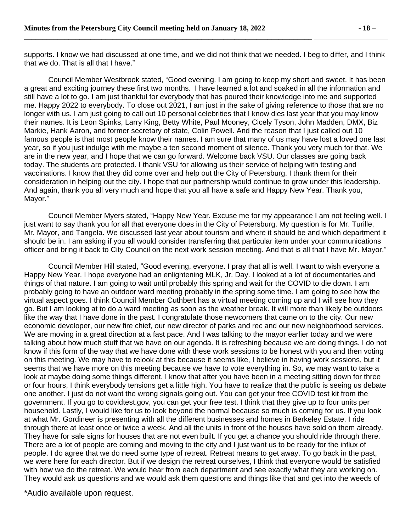supports. I know we had discussed at one time, and we did not think that we needed. I beg to differ, and I think that we do. That is all that I have."

Council Member Westbrook stated, "Good evening. I am going to keep my short and sweet. It has been a great and exciting journey these first two months. I have learned a lot and soaked in all the information and still have a lot to go. I am just thankful for everybody that has poured their knowledge into me and supported me. Happy 2022 to everybody. To close out 2021, I am just in the sake of giving reference to those that are no longer with us. I am just going to call out 10 personal celebrities that I know dies last year that you may know their names. It is Leon Spinks, Larry King, Betty White, Paul Mooney, Cicely Tyson, John Madden, DMX, Biz Markie, Hank Aaron, and former secretary of state, Colin Powell. And the reason that I just called out 10 famous people is that most people know their names. I am sure that many of us may have lost a loved one last year, so if you just indulge with me maybe a ten second moment of silence. Thank you very much for that. We are in the new year, and I hope that we can go forward. Welcome back VSU. Our classes are going back today. The students are protected. I thank VSU for allowing us their service of helping with testing and vaccinations. I know that they did come over and help out the City of Petersburg. I thank them for their consideration in helping out the city. I hope that our partnership would continue to grow under this leadership. And again, thank you all very much and hope that you all have a safe and Happy New Year. Thank you, Mayor."

Council Member Myers stated, "Happy New Year. Excuse me for my appearance I am not feeling well. I just want to say thank you for all that everyone does in the City of Petersburg. My question is for Mr. Turille, Mr. Mayor, and Tangela. We discussed last year about tourism and where it should be and which department it should be in. I am asking if you all would consider transferring that particular item under your communications officer and bring it back to City Council on the next work session meeting. And that is all that I have Mr. Mayor."

Council Member Hill stated, "Good evening, everyone. I pray that all is well. I want to wish everyone a Happy New Year. I hope everyone had an enlightening MLK, Jr. Day. I looked at a lot of documentaries and things of that nature. I am going to wait until probably this spring and wait for the COVID to die down. I am probably going to have an outdoor ward meeting probably in the spring some time. I am going to see how the virtual aspect goes. I think Council Member Cuthbert has a virtual meeting coming up and I will see how they go. But I am looking at to do a ward meeting as soon as the weather break. It will more than likely be outdoors like the way that I have done in the past. I congratulate those newcomers that came on to the city. Our new economic developer, our new fire chief, our new director of parks and rec and our new neighborhood services. We are moving in a great direction at a fast pace. And I was talking to the mayor earlier today and we were talking about how much stuff that we have on our agenda. It is refreshing because we are doing things. I do not know if this form of the way that we have done with these work sessions to be honest with you and then voting on this meeting. We may have to relook at this because it seems like, I believe in having work sessions, but it seems that we have more on this meeting because we have to vote everything in. So, we may want to take a look at maybe doing some things different. I know that after you have been in a meeting sitting down for three or four hours, I think everybody tensions get a little high. You have to realize that the public is seeing us debate one another. I just do not want the wrong signals going out. You can get your free COVID test kit from the government. If you go to covidtest.gov, you can get your free test. I think that they give up to four units per household. Lastly, I would like for us to look beyond the normal because so much is coming for us. If you look at what Mr. Gordineer is presenting with all the different businesses and homes in Berkeley Estate. I ride through there at least once or twice a week. And all the units in front of the houses have sold on them already. They have for sale signs for houses that are not even built. If you get a chance you should ride through there. There are a lot of people are coming and moving to the city and I just want us to be ready for the influx of people. I do agree that we do need some type of retreat. Retreat means to get away. To go back in the past, we were here for each director. But if we design the retreat ourselves, I think that everyone would be satisfied with how we do the retreat. We would hear from each department and see exactly what they are working on. They would ask us questions and we would ask them questions and things like that and get into the weeds of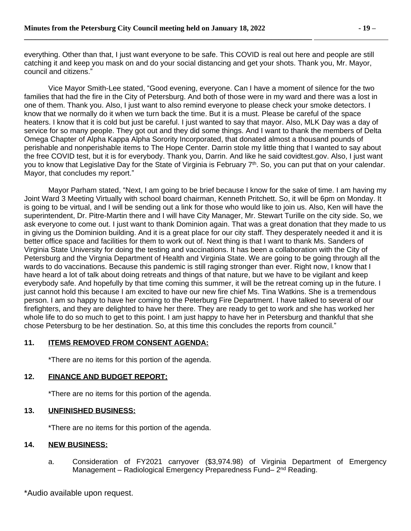everything. Other than that, I just want everyone to be safe. This COVID is real out here and people are still catching it and keep you mask on and do your social distancing and get your shots. Thank you, Mr. Mayor, council and citizens."

Vice Mayor Smith-Lee stated, "Good evening, everyone. Can I have a moment of silence for the two families that had the fire in the City of Petersburg. And both of those were in my ward and there was a lost in one of them. Thank you. Also, I just want to also remind everyone to please check your smoke detectors. I know that we normally do it when we turn back the time. But it is a must. Please be careful of the space heaters. I know that it is cold but just be careful. I just wanted to say that mayor. Also, MLK Day was a day of service for so many people. They got out and they did some things. And I want to thank the members of Delta Omega Chapter of Alpha Kappa Alpha Sorority Incorporated, that donated almost a thousand pounds of perishable and nonperishable items to The Hope Center. Darrin stole my little thing that I wanted to say about the free COVID test, but it is for everybody. Thank you, Darrin. And like he said covidtest.gov. Also, I just want you to know that Legislative Day for the State of Virginia is February 7<sup>th</sup>. So, you can put that on your calendar. Mayor, that concludes my report."

Mayor Parham stated, "Next, I am going to be brief because I know for the sake of time. I am having my Joint Ward 3 Meeting Virtually with school board chairman, Kenneth Pritchett. So, it will be 6pm on Monday. It is going to be virtual, and I will be sending out a link for those who would like to join us. Also, Ken will have the superintendent, Dr. Pitre-Martin there and I will have City Manager, Mr. Stewart Turille on the city side. So, we ask everyone to come out. I just want to thank Dominion again. That was a great donation that they made to us in giving us the Dominion building. And it is a great place for our city staff. They desperately needed it and it is better office space and facilities for them to work out of. Next thing is that I want to thank Ms. Sanders of Virginia State University for doing the testing and vaccinations. It has been a collaboration with the City of Petersburg and the Virgnia Department of Health and Virginia State. We are going to be going through all the wards to do vaccinations. Because this pandemic is still raging stronger than ever. Right now, I know that I have heard a lot of talk about doing retreats and things of that nature, but we have to be vigilant and keep everybody safe. And hopefully by that time coming this summer, it will be the retreat coming up in the future. I just cannot hold this because I am excited to have our new fire chief Ms. Tina Watkins. She is a tremendous person. I am so happy to have her coming to the Peterburg Fire Department. I have talked to several of our firefighters, and they are delighted to have her there. They are ready to get to work and she has worked her whole life to do so much to get to this point. I am just happy to have her in Petersburg and thankful that she chose Petersburg to be her destination. So, at this time this concludes the reports from council."

# **11. ITEMS REMOVED FROM CONSENT AGENDA:**

\*There are no items for this portion of the agenda.

## **12. FINANCE AND BUDGET REPORT:**

\*There are no items for this portion of the agenda.

#### **13. UNFINISHED BUSINESS:**

\*There are no items for this portion of the agenda.

#### **14. NEW BUSINESS:**

a. Consideration of FY2021 carryover (\$3,974.98) of Virginia Department of Emergency Management - Radiological Emergency Preparedness Fund- 2<sup>nd</sup> Reading.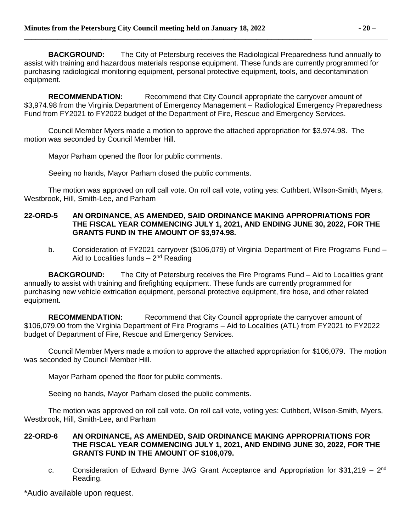**BACKGROUND:** The City of Petersburg receives the Radiological Preparedness fund annually to assist with training and hazardous materials response equipment. These funds are currently programmed for purchasing radiological monitoring equipment, personal protective equipment, tools, and decontamination equipment.

**RECOMMENDATION:** Recommend that City Council appropriate the carryover amount of \$3,974.98 from the Virginia Department of Emergency Management – Radiological Emergency Preparedness Fund from FY2021 to FY2022 budget of the Department of Fire, Rescue and Emergency Services.

Council Member Myers made a motion to approve the attached appropriation for \$3,974.98. The motion was seconded by Council Member Hill.

Mayor Parham opened the floor for public comments.

Seeing no hands, Mayor Parham closed the public comments.

The motion was approved on roll call vote. On roll call vote, voting yes: Cuthbert, Wilson-Smith, Myers, Westbrook, Hill, Smith-Lee, and Parham

#### **22-ORD-5 AN ORDINANCE, AS AMENDED, SAID ORDINANCE MAKING APPROPRIATIONS FOR THE FISCAL YEAR COMMENCING JULY 1, 2021, AND ENDING JUNE 30, 2022, FOR THE GRANTS FUND IN THE AMOUNT OF \$3,974.98.**

b. Consideration of FY2021 carryover (\$106,079) of Virginia Department of Fire Programs Fund – Aid to Localities funds - 2<sup>nd</sup> Reading

**BACKGROUND:** The City of Petersburg receives the Fire Programs Fund – Aid to Localities grant annually to assist with training and firefighting equipment. These funds are currently programmed for purchasing new vehicle extrication equipment, personal protective equipment, fire hose, and other related equipment.

**RECOMMENDATION:** Recommend that City Council appropriate the carryover amount of \$106,079.00 from the Virginia Department of Fire Programs – Aid to Localities (ATL) from FY2021 to FY2022 budget of Department of Fire, Rescue and Emergency Services.

Council Member Myers made a motion to approve the attached appropriation for \$106,079. The motion was seconded by Council Member Hill.

Mayor Parham opened the floor for public comments.

Seeing no hands, Mayor Parham closed the public comments.

The motion was approved on roll call vote. On roll call vote, voting yes: Cuthbert, Wilson-Smith, Myers, Westbrook, Hill, Smith-Lee, and Parham

#### **22-ORD-6 AN ORDINANCE, AS AMENDED, SAID ORDINANCE MAKING APPROPRIATIONS FOR THE FISCAL YEAR COMMENCING JULY 1, 2021, AND ENDING JUNE 30, 2022, FOR THE GRANTS FUND IN THE AMOUNT OF \$106,079.**

c. Consideration of Edward Byrne JAG Grant Acceptance and Appropriation for \$31,219 - 2<sup>nd</sup> Reading.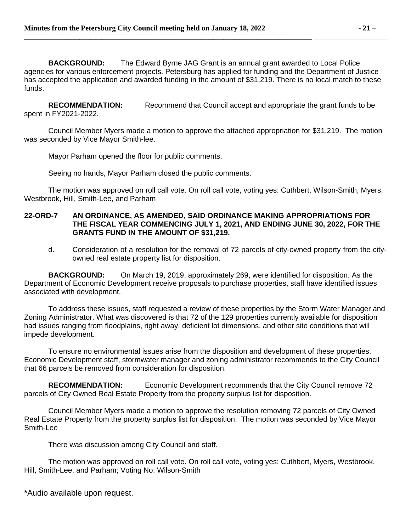**BACKGROUND:** The Edward Byrne JAG Grant is an annual grant awarded to Local Police agencies for various enforcement projects. Petersburg has applied for funding and the Department of Justice has accepted the application and awarded funding in the amount of \$31,219. There is no local match to these funds.

**RECOMMENDATION:** Recommend that Council accept and appropriate the grant funds to be spent in FY2021-2022.

Council Member Myers made a motion to approve the attached appropriation for \$31,219. The motion was seconded by Vice Mayor Smith-lee.

Mayor Parham opened the floor for public comments.

Seeing no hands, Mayor Parham closed the public comments.

The motion was approved on roll call vote. On roll call vote, voting yes: Cuthbert, Wilson-Smith, Myers, Westbrook, Hill, Smith-Lee, and Parham

#### **22-ORD-7 AN ORDINANCE, AS AMENDED, SAID ORDINANCE MAKING APPROPRIATIONS FOR THE FISCAL YEAR COMMENCING JULY 1, 2021, AND ENDING JUNE 30, 2022, FOR THE GRANTS FUND IN THE AMOUNT OF \$31,219.**

d. Consideration of a resolution for the removal of 72 parcels of city-owned property from the cityowned real estate property list for disposition.

**BACKGROUND:** On March 19, 2019, approximately 269, were identified for disposition. As the Department of Economic Development receive proposals to purchase properties, staff have identified issues associated with development.

To address these issues, staff requested a review of these properties by the Storm Water Manager and Zoning Administrator. What was discovered is that 72 of the 129 properties currently available for disposition had issues ranging from floodplains, right away, deficient lot dimensions, and other site conditions that will impede development.

To ensure no environmental issues arise from the disposition and development of these properties, Economic Development staff, stormwater manager and zoning administrator recommends to the City Council that 66 parcels be removed from consideration for disposition.

**RECOMMENDATION:** Economic Development recommends that the City Council remove 72 parcels of City Owned Real Estate Property from the property surplus list for disposition.

Council Member Myers made a motion to approve the resolution removing 72 parcels of City Owned Real Estate Property from the property surplus list for disposition. The motion was seconded by Vice Mayor Smith-Lee

There was discussion among City Council and staff.

The motion was approved on roll call vote. On roll call vote, voting yes: Cuthbert, Myers, Westbrook, Hill, Smith-Lee, and Parham; Voting No: Wilson-Smith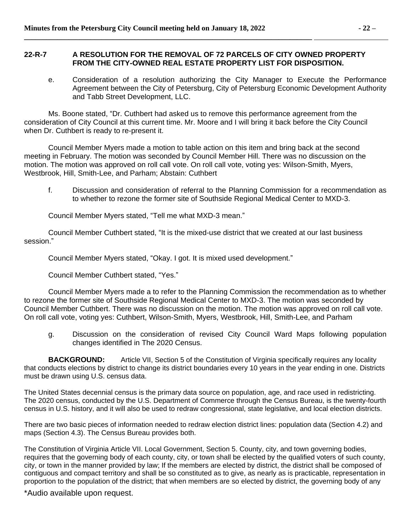#### **22-R-7 A RESOLUTION FOR THE REMOVAL OF 72 PARCELS OF CITY OWNED PROPERTY FROM THE CITY-OWNED REAL ESTATE PROPERTY LIST FOR DISPOSITION.**

e. Consideration of a resolution authorizing the City Manager to Execute the Performance Agreement between the City of Petersburg, City of Petersburg Economic Development Authority and Tabb Street Development, LLC.

Ms. Boone stated, "Dr. Cuthbert had asked us to remove this performance agreement from the consideration of City Council at this current time. Mr. Moore and I will bring it back before the City Council when Dr. Cuthbert is ready to re-present it.

Council Member Myers made a motion to table action on this item and bring back at the second meeting in February. The motion was seconded by Council Member Hill. There was no discussion on the motion. The motion was approved on roll call vote. On roll call vote, voting yes: Wilson-Smith, Myers, Westbrook, Hill, Smith-Lee, and Parham; Abstain: Cuthbert

f. Discussion and consideration of referral to the Planning Commission for a recommendation as to whether to rezone the former site of Southside Regional Medical Center to MXD-3.

Council Member Myers stated, "Tell me what MXD-3 mean."

Council Member Cuthbert stated, "It is the mixed-use district that we created at our last business session."

Council Member Myers stated, "Okay. I got. It is mixed used development."

Council Member Cuthbert stated, "Yes."

Council Member Myers made a to refer to the Planning Commission the recommendation as to whether to rezone the former site of Southside Regional Medical Center to MXD-3. The motion was seconded by Council Member Cuthbert. There was no discussion on the motion. The motion was approved on roll call vote. On roll call vote, voting yes: Cuthbert, Wilson-Smith, Myers, Westbrook, Hill, Smith-Lee, and Parham

g. Discussion on the consideration of revised City Council Ward Maps following population changes identified in The 2020 Census.

**BACKGROUND:** Article VII, Section 5 of the Constitution of Virginia specifically requires any locality that conducts elections by district to change its district boundaries every 10 years in the year ending in one. Districts must be drawn using U.S. census data.

The United States decennial census is the primary data source on population, age, and race used in redistricting. The 2020 census, conducted by the U.S. Department of Commerce through the Census Bureau, is the twenty-fourth census in U.S. history, and it will also be used to redraw congressional, state legislative, and local election districts.

There are two basic pieces of information needed to redraw election district lines: population data (Section 4.2) and maps (Section 4.3). The Census Bureau provides both.

The Constitution of Virginia Article VII. Local Government, Section 5. County, city, and town governing bodies, requires that the governing body of each county, city, or town shall be elected by the qualified voters of such county, city, or town in the manner provided by law; If the members are elected by district, the district shall be composed of contiguous and compact territory and shall be so constituted as to give, as nearly as is practicable, representation in proportion to the population of the district; that when members are so elected by district, the governing body of any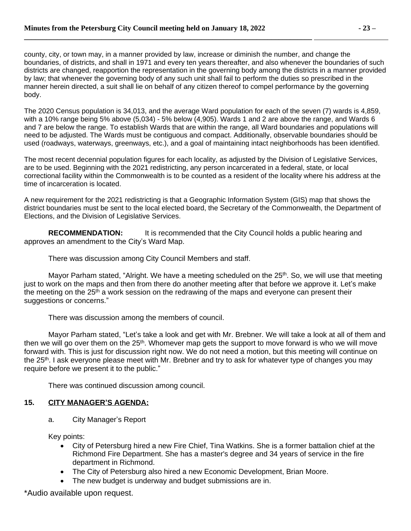county, city, or town may, in a manner provided by law, increase or diminish the number, and change the boundaries, of districts, and shall in 1971 and every ten years thereafter, and also whenever the boundaries of such districts are changed, reapportion the representation in the governing body among the districts in a manner provided by law; that whenever the governing body of any such unit shall fail to perform the duties so prescribed in the manner herein directed, a suit shall lie on behalf of any citizen thereof to compel performance by the governing body.

The 2020 Census population is 34,013, and the average Ward population for each of the seven (7) wards is 4,859, with a 10% range being 5% above (5,034) - 5% below (4,905). Wards 1 and 2 are above the range, and Wards 6 and 7 are below the range. To establish Wards that are within the range, all Ward boundaries and populations will need to be adjusted. The Wards must be contiguous and compact. Additionally, observable boundaries should be used (roadways, waterways, greenways, etc.), and a goal of maintaining intact neighborhoods has been identified.

The most recent decennial population figures for each locality, as adjusted by the Division of Legislative Services, are to be used. Beginning with the 2021 redistricting, any person incarcerated in a federal, state, or local correctional facility within the Commonwealth is to be counted as a resident of the locality where his address at the time of incarceration is located.

A new requirement for the 2021 redistricting is that a Geographic Information System (GIS) map that shows the district boundaries must be sent to the local elected board, the Secretary of the Commonwealth, the Department of Elections, and the Division of Legislative Services.

**RECOMMENDATION:** It is recommended that the City Council holds a public hearing and approves an amendment to the City's Ward Map.

There was discussion among City Council Members and staff.

Mayor Parham stated, "Alright. We have a meeting scheduled on the  $25<sup>th</sup>$ . So, we will use that meeting just to work on the maps and then from there do another meeting after that before we approve it. Let's make the meeting on the  $25<sup>th</sup>$  a work session on the redrawing of the maps and everyone can present their suggestions or concerns."

There was discussion among the members of council.

Mayor Parham stated, "Let's take a look and get with Mr. Brebner. We will take a look at all of them and then we will go over them on the 25<sup>th</sup>. Whomever map gets the support to move forward is who we will move forward with. This is just for discussion right now. We do not need a motion, but this meeting will continue on the 25<sup>th</sup>. I ask everyone please meet with Mr. Brebner and try to ask for whatever type of changes you may require before we present it to the public."

There was continued discussion among council.

## **15. CITY MANAGER'S AGENDA:**

a. City Manager's Report

Key points:

- City of Petersburg hired a new Fire Chief, Tina Watkins. She is a former battalion chief at the Richmond Fire Department. She has a master's degree and 34 years of service in the fire department in Richmond.
- The City of Petersburg also hired a new Economic Development, Brian Moore.
- The new budget is underway and budget submissions are in.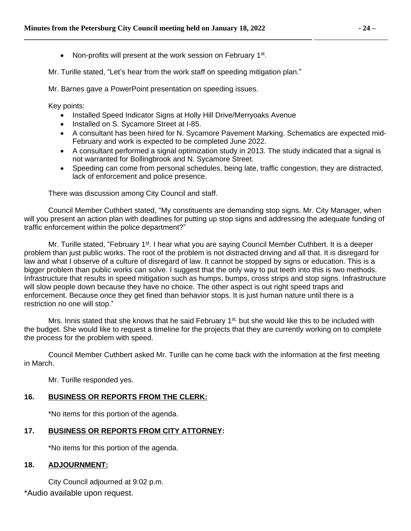• Non-profits will present at the work session on February 1<sup>st</sup>.

**\_\_\_\_\_\_\_\_\_\_\_\_\_\_\_\_\_\_\_\_\_\_\_\_\_\_\_\_\_\_\_\_\_\_\_\_\_\_\_\_\_\_\_\_\_\_\_\_\_\_\_\_\_\_\_\_\_\_\_\_\_\_\_\_\_\_\_\_\_\_\_\_\_\_\_\_\_\_** 

Mr. Turille stated, "Let's hear from the work staff on speeding mitigation plan."

Mr. Barnes gave a PowerPoint presentation on speeding issues.

Key points:

- Installed Speed Indicator Signs at Holly Hill Drive/Merryoaks Avenue
- Installed on S. Sycamore Street at I-85.
- A consultant has been hired for N. Sycamore Pavement Marking. Schematics are expected mid-February and work is expected to be completed June 2022.
- A consultant performed a signal optimization study in 2013. The study indicated that a signal is not warranted for Bollingbrook and N. Sycamore Street.
- Speeding can come from personal schedules, being late, traffic congestion, they are distracted, lack of enforcement and police presence.

There was discussion among City Council and staff.

Council Member Cuthbert stated, "My constituents are demanding stop signs. Mr. City Manager, when will you present an action plan with deadlines for putting up stop signs and addressing the adequate funding of traffic enforcement within the police department?"

Mr. Turille stated, "February 1<sup>st</sup>. I hear what you are saying Council Member Cuthbert. It is a deeper problem than just public works. The root of the problem is not distracted driving and all that. It is disregard for law and what I observe of a culture of disregard of law. It cannot be stopped by signs or education. This is a bigger problem than public works can solve. I suggest that the only way to put teeth into this is two methods. Infrastructure that results in speed mitigation such as humps, bumps, cross strips and stop signs. Infrastructure will slow people down because they have no choice. The other aspect is out right speed traps and enforcement. Because once they get fined than behavior stops. It is just human nature until there is a restriction no one will stop."

Mrs. Innis stated that she knows that he said February 1<sup>st,</sup> but she would like this to be included with the budget. She would like to request a timeline for the projects that they are currently working on to complete the process for the problem with speed.

Council Member Cuthbert asked Mr. Turille can he come back with the information at the first meeting in March.

Mr. Turille responded yes.

# **16. BUSINESS OR REPORTS FROM THE CLERK:**

\*No items for this portion of the agenda.

# **17. BUSINESS OR REPORTS FROM CITY ATTORNEY:**

\*No items for this portion of the agenda.

## **18. ADJOURNMENT:**

City Council adjourned at 9:02 p.m.